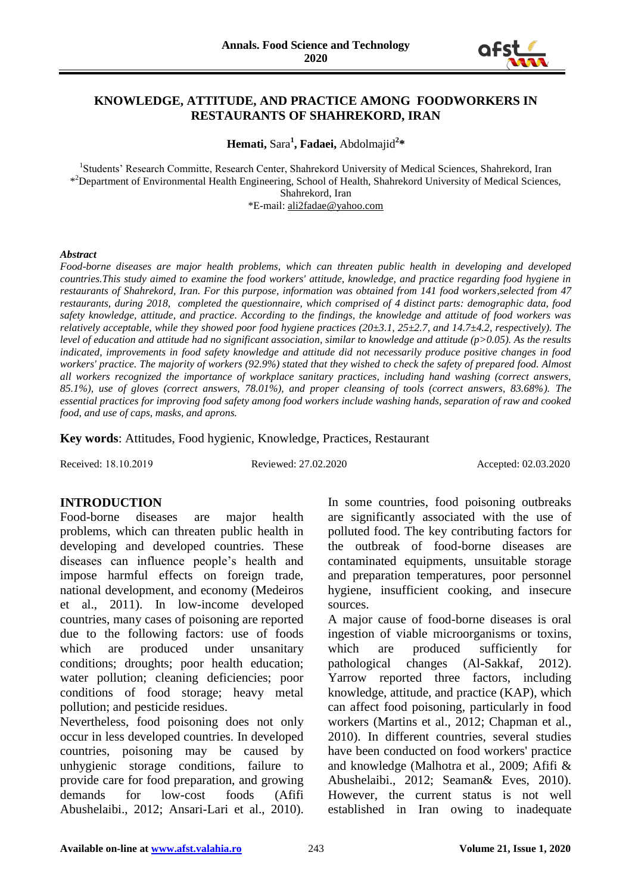

## **KNOWLEDGE, ATTITUDE, AND PRACTICE AMONG FOODWORKERS IN RESTAURANTS OF SHAHREKORD, IRAN**

**Hemati,** Sara**<sup>1</sup> , Fadaei,** Abdolmajid**<sup>2</sup> \***

<sup>1</sup>Students' Research Committe, Research Center, Shahrekord University of Medical Sciences, Shahrekord, Iran \*<sup>2</sup>Department of Environmental Health Engineering, School of Health, Shahrekord University of Medical Sciences, Shahrekord, Iran \*E-mail: [ali2fadae@yahoo.com](mailto:ali2fadae@yahoo.com)

#### *Abstract*

*Food-borne diseases are major health problems, which can threaten public health in developing and developed countries.This study aimed to examine the food workers' attitude, knowledge, and practice regarding food hygiene in restaurants of Shahrekord, Iran. For this purpose, information was obtained from 141 food workers*,*selected from 47 restaurants, during 2018, completed the questionnaire, which comprised of 4 distinct parts: demographic data, food safety knowledge, attitude, and practice. According to the findings, the knowledge and attitude of food workers was relatively acceptable, while they showed poor food hygiene practices (20±3.1, 25±2.7, and 14.7±4.2, respectively). The level of education and attitude had no significant association, similar to knowledge and attitude (p>0.05). As the results indicated, improvements in food safety knowledge and attitude did not necessarily produce positive changes in food workers' practice. The majority of workers (92.9%) stated that they wished to check the safety of prepared food. Almost all workers recognized the importance of workplace sanitary practices, including hand washing (correct answers, 85.1%), use of gloves (correct answers, 78.01%), and proper cleansing of tools (correct answers, 83.68%). The essential practices for improving food safety among food workers include washing hands, separation of raw and cooked food, and use of caps, masks, and aprons.*

**Key words**: Attitudes, Food hygienic, Knowledge, Practices, Restaurant

Received: 18.10.2019 Reviewed: 27.02.2020 Accepted: 02.03.2020

### **INTRODUCTION**

Food-borne diseases are major health problems, which can threaten public health in developing and developed countries. These diseases can influence people's health and impose harmful effects on foreign trade, national development, and economy (Medeiros et al., 2011). In low-income developed countries, many cases of poisoning are reported due to the following factors: use of foods which are produced under unsanitary conditions; droughts; poor health education; water pollution; cleaning deficiencies; poor conditions of food storage; heavy metal pollution; and pesticide residues.

Nevertheless, food poisoning does not only occur in less developed countries. In developed countries, poisoning may be caused by unhygienic storage conditions, failure to provide care for food preparation, and growing demands for low-cost foods (Afifi Abushelaibi., 2012; Ansari-Lari et al., 2010).

In some countries, food poisoning outbreaks are significantly associated with the use of polluted food. The key contributing factors for the outbreak of food-borne diseases are contaminated equipments, unsuitable storage and preparation temperatures, poor personnel hygiene, insufficient cooking, and insecure sources.

A major cause of food-borne diseases is oral ingestion of viable microorganisms or toxins, which are produced sufficiently for pathological changes (Al-Sakkaf, 2012). Yarrow reported three factors, including knowledge, attitude, and practice (KAP), which can affect food poisoning, particularly in food workers (Martins et al., 2012; Chapman et al., 2010). In different countries, several studies have been conducted on food workers' practice and knowledge (Malhotra et al., 2009; Afifi & Abushelaibi., 2012; Seaman& Eves, 2010). However, the current status is not well established in Iran owing to inadequate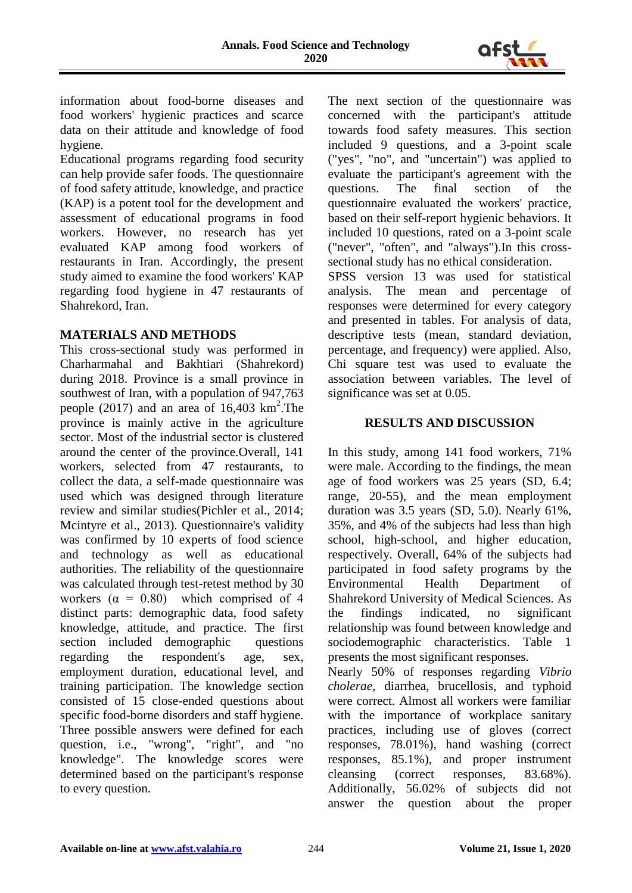

information about food-borne diseases and food workers' hygienic practices and scarce data on their attitude and knowledge of food hygiene.

Educational programs regarding food security can help provide safer foods. The questionnaire of food safety attitude, knowledge, and practice (KAP) is a potent tool for the development and assessment of educational programs in food workers. However, no research has yet evaluated KAP among food workers of restaurants in Iran. Accordingly, the present study aimed to examine the food workers' KAP regarding food hygiene in 47 restaurants of Shahrekord, Iran.

## **MATERIALS AND METHODS**

This cross-sectional study was performed in Charharmahal and Bakhtiari (Shahrekord) during 2018. Province is a small province in southwest of Iran, with a population of 947,763 people  $(2017)$  and an area of 16,403 km<sup>2</sup>. The province is mainly active in the agriculture sector. Most of the industrial sector is clustered around the center of the province.Overall, 141 workers, selected from 47 restaurants, to collect the data, a self-made questionnaire was used which was designed through literature review and similar studies(Pichler et al., 2014; Mcintyre et al., 2013). Questionnaire's validity was confirmed by 10 experts of food science and technology as well as educational authorities. The reliability of the questionnaire was calculated through test-retest method by 30 workers  $(\alpha = 0.80)$  which comprised of 4 distinct parts: demographic data, food safety knowledge, attitude, and practice. The first section included demographic questions regarding the respondent's age, sex, employment duration, educational level, and training participation. The knowledge section consisted of 15 close-ended questions about specific food-borne disorders and staff hygiene. Three possible answers were defined for each question, i.e., "wrong", "right", and "no knowledge". The knowledge scores were determined based on the participant's response to every question.

The next section of the questionnaire was concerned with the participant's attitude towards food safety measures. This section included 9 questions, and a 3-point scale ("yes", "no", and "uncertain") was applied to evaluate the participant's agreement with the questions. The final section of the questionnaire evaluated the workers' practice, based on their self-report hygienic behaviors. It included 10 questions, rated on a 3-point scale ("never", "often", and "always").In this crosssectional study has no ethical consideration. SPSS version 13 was used for statistical analysis. The mean and percentage of responses were determined for every category and presented in tables. For analysis of data, descriptive tests (mean, standard deviation, percentage, and frequency) were applied. Also, Chi square test was used to evaluate the association between variables. The level of significance was set at 0.05.

## **RESULTS AND DISCUSSION**

In this study, among 141 food workers, 71% were male. According to the findings, the mean age of food workers was 25 years (SD, 6.4; range, 20-55), and the mean employment duration was 3.5 years (SD, 5.0). Nearly 61%, 35%, and 4% of the subjects had less than high school, high-school, and higher education, respectively. Overall, 64% of the subjects had participated in food safety programs by the Environmental Health Department of Shahrekord University of Medical Sciences. As the findings indicated, no significant relationship was found between knowledge and sociodemographic characteristics. Table 1 presents the most significant responses.

Nearly 50% of responses regarding *Vibrio cholerae*, diarrhea, brucellosis, and typhoid were correct. Almost all workers were familiar with the importance of workplace sanitary practices, including use of gloves (correct responses, 78.01%), hand washing (correct responses, 85.1%), and proper instrument cleansing (correct responses, 83.68%). Additionally, 56.02% of subjects did not answer the question about the proper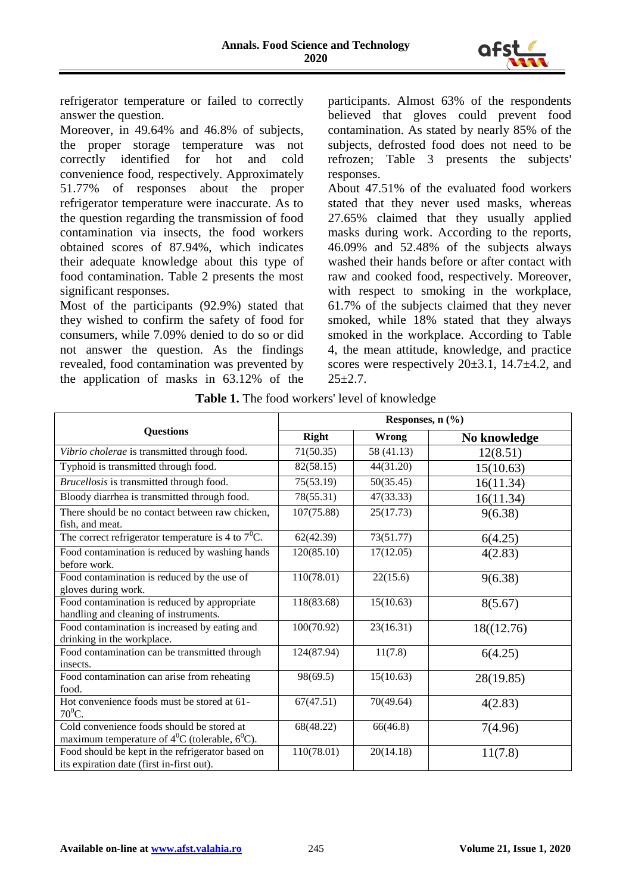

refrigerator temperature or failed to correctly answer the question.

Moreover, in 49.64% and 46.8% of subjects, the proper storage temperature was not correctly identified for hot and cold convenience food, respectively. Approximately 51.77% of responses about the proper refrigerator temperature were inaccurate. As to the question regarding the transmission of food contamination via insects, the food workers obtained scores of 87.94%, which indicates their adequate knowledge about this type of food contamination. Table 2 presents the most significant responses.

Most of the participants (92.9%) stated that they wished to confirm the safety of food for consumers, while 7.09% denied to do so or did not answer the question. As the findings revealed, food contamination was prevented by the application of masks in 63.12% of the

participants. Almost 63% of the respondents believed that gloves could prevent food contamination. As stated by nearly 85% of the subjects, defrosted food does not need to be refrozen; Table 3 presents the subjects' responses.

About 47.51% of the evaluated food workers stated that they never used masks, whereas 27.65% claimed that they usually applied masks during work. According to the reports, 46.09% and 52.48% of the subjects always washed their hands before or after contact with raw and cooked food, respectively. Moreover, with respect to smoking in the workplace, 61.7% of the subjects claimed that they never smoked, while 18% stated that they always smoked in the workplace. According to Table 4, the mean attitude, knowledge, and practice scores were respectively  $20\pm 3.1$ , 14.7 $\pm 4.2$ , and  $25+2.7$ .

|                                                                                                   | Responses, n (%) |            |              |  |
|---------------------------------------------------------------------------------------------------|------------------|------------|--------------|--|
| <b>Questions</b>                                                                                  | Right            | Wrong      | No knowledge |  |
| Vibrio cholerae is transmitted through food.                                                      | 71(50.35)        | 58 (41.13) | 12(8.51)     |  |
| Typhoid is transmitted through food.                                                              | 82(58.15)        | 44(31.20)  | 15(10.63)    |  |
| Brucellosis is transmitted through food.                                                          | 75(53.19)        | 50(35.45)  | 16(11.34)    |  |
| Bloody diarrhea is transmitted through food.                                                      | 78(55.31)        | 47(33.33)  | 16(11.34)    |  |
| There should be no contact between raw chicken,<br>fish, and meat.                                | 107(75.88)       | 25(17.73)  | 9(6.38)      |  |
| The correct refrigerator temperature is 4 to $7^0C$ .                                             | 62(42.39)        | 73(51.77)  | 6(4.25)      |  |
| Food contamination is reduced by washing hands<br>before work.                                    | 120(85.10)       | 17(12.05)  | 4(2.83)      |  |
| Food contamination is reduced by the use of<br>gloves during work.                                | 110(78.01)       | 22(15.6)   | 9(6.38)      |  |
| Food contamination is reduced by appropriate<br>handling and cleaning of instruments.             | 118(83.68)       | 15(10.63)  | 8(5.67)      |  |
| Food contamination is increased by eating and<br>drinking in the workplace.                       | 100(70.92)       | 23(16.31)  | 18((12.76)   |  |
| Food contamination can be transmitted through<br>insects.                                         | 124(87.94)       | 11(7.8)    | 6(4.25)      |  |
| Food contamination can arise from reheating<br>food.                                              | 98(69.5)         | 15(10.63)  | 28(19.85)    |  |
| Hot convenience foods must be stored at 61-<br>$70^0C$ .                                          | 67(47.51)        | 70(49.64)  | 4(2.83)      |  |
| Cold convenience foods should be stored at<br>maximum temperature of $4^0C$ (tolerable, $6^0C$ ). | 68(48.22)        | 66(46.8)   | 7(4.96)      |  |
| Food should be kept in the refrigerator based on<br>its expiration date (first in-first out).     | 110(78.01)       | 20(14.18)  | 11(7.8)      |  |

|  |  |  |  |  | Table 1. The food workers' level of knowledge |
|--|--|--|--|--|-----------------------------------------------|
|--|--|--|--|--|-----------------------------------------------|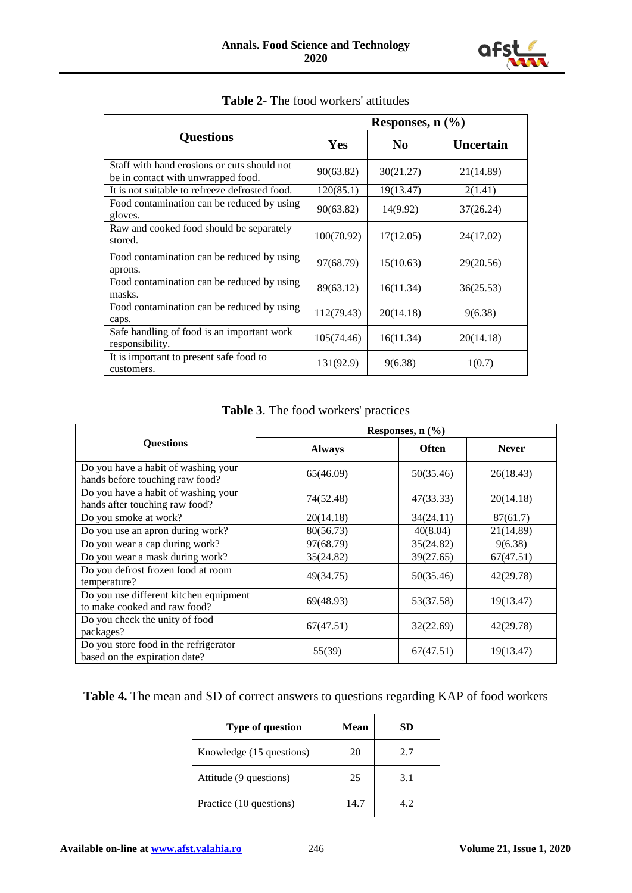

|                                                                                   | Responses, $n$ $(\frac{9}{6})$ |                |                  |  |
|-----------------------------------------------------------------------------------|--------------------------------|----------------|------------------|--|
| <b>Questions</b>                                                                  | <b>Yes</b>                     | N <sub>0</sub> | <b>Uncertain</b> |  |
| Staff with hand erosions or cuts should not<br>be in contact with unwrapped food. | 90(63.82)                      | 30(21.27)      | 21(14.89)        |  |
| It is not suitable to refreeze defrosted food.                                    | 120(85.1)                      | 19(13.47)      | 2(1.41)          |  |
| Food contamination can be reduced by using<br>gloves.                             | 90(63.82)                      | 14(9.92)       | 37(26.24)        |  |
| Raw and cooked food should be separately<br>stored.                               | 100(70.92)                     | 17(12.05)      | 24(17.02)        |  |
| Food contamination can be reduced by using<br>aprons.                             | 97(68.79)                      | 15(10.63)      | 29(20.56)        |  |
| Food contamination can be reduced by using<br>masks.                              | 89(63.12)                      | 16(11.34)      | 36(25.53)        |  |
| Food contamination can be reduced by using<br>caps.                               | 112(79.43)                     | 20(14.18)      | 9(6.38)          |  |
| Safe handling of food is an important work<br>responsibility.                     | 105(74.46)                     | 16(11.34)      | 20(14.18)        |  |
| It is important to present safe food to<br>customers.                             | 131(92.9)                      | 9(6.38)        | 1(0.7)           |  |

### **Table 2-** The food workers' attitudes

**Table 3**. The food workers' practices

|                                                                        | Responses, $n$ $(\frac{9}{6})$ |           |              |  |
|------------------------------------------------------------------------|--------------------------------|-----------|--------------|--|
| <b>Ouestions</b>                                                       | <b>Always</b>                  |           | <b>Never</b> |  |
| Do you have a habit of washing your<br>hands before touching raw food? | 65(46.09)                      | 50(35.46) | 26(18.43)    |  |
| Do you have a habit of washing your<br>hands after touching raw food?  | 74(52.48)                      | 47(33.33) | 20(14.18)    |  |
| Do you smoke at work?                                                  | 20(14.18)                      | 34(24.11) | 87(61.7)     |  |
| Do you use an apron during work?                                       | 80(56.73)                      | 40(8.04)  | 21(14.89)    |  |
| Do you wear a cap during work?                                         | 97(68.79)                      | 35(24.82) | 9(6.38)      |  |
| Do you wear a mask during work?                                        | 35(24.82)                      | 39(27.65) | 67(47.51)    |  |
| Do you defrost frozen food at room<br>temperature?                     | 49(34.75)                      | 50(35.46) | 42(29.78)    |  |
| Do you use different kitchen equipment<br>to make cooked and raw food? | 69(48.93)                      | 53(37.58) | 19(13.47)    |  |
| Do you check the unity of food<br>packages?                            | 67(47.51)                      | 32(22.69) | 42(29.78)    |  |
| Do you store food in the refrigerator<br>based on the expiration date? | 55(39)                         | 67(47.51) | 19(13.47)    |  |

# **Table 4.** The mean and SD of correct answers to questions regarding KAP of food workers

| <b>Type of question</b>  | Mean | SD  |
|--------------------------|------|-----|
| Knowledge (15 questions) | 20   | 2.7 |
| Attitude (9 questions)   | 25   | 3.1 |
| Practice (10 questions)  | 14.7 | 4.2 |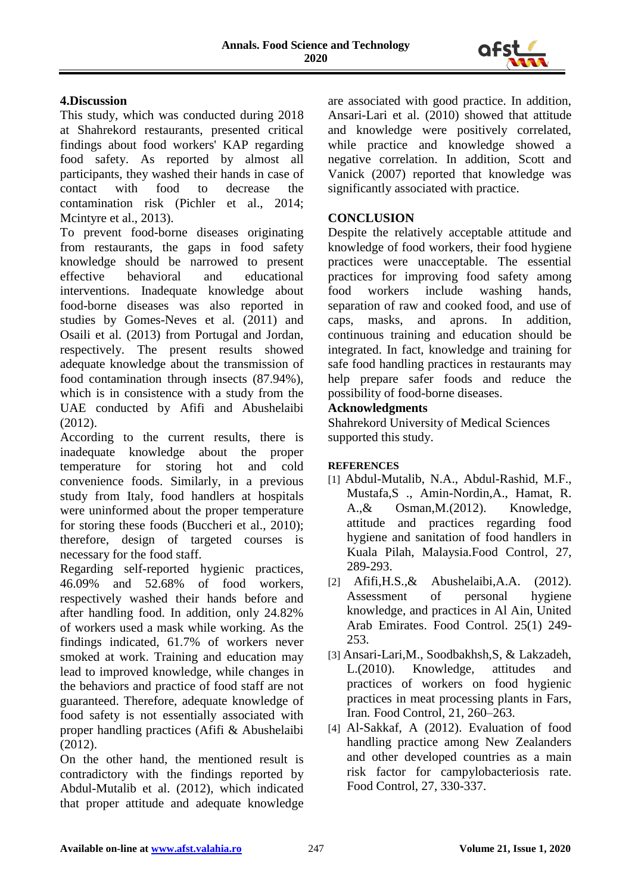

## **4.Discussion**

This study, which was conducted during 2018 at Shahrekord restaurants, presented critical findings about food workers' KAP regarding food safety. As reported by almost all participants, they washed their hands in case of contact with food to decrease the contamination risk (Pichler et al., 2014; Mcintyre et al., 2013).

To prevent food-borne diseases originating from restaurants, the gaps in food safety knowledge should be narrowed to present effective behavioral and educational interventions. Inadequate knowledge about food-borne diseases was also reported in studies by Gomes-Neves et al. (2011) and Osaili et al. (2013) from Portugal and Jordan, respectively. The present results showed adequate knowledge about the transmission of food contamination through insects (87.94%), which is in consistence with a study from the UAE conducted by Afifi and Abushelaibi (2012).

According to the current results, there is inadequate knowledge about the proper temperature for storing hot and cold convenience foods. Similarly, in a previous study from Italy, food handlers at hospitals were uninformed about the proper temperature for storing these foods (Buccheri et al., 2010); therefore, design of targeted courses is necessary for the food staff.

Regarding self-reported hygienic practices, 46.09% and 52.68% of food workers, respectively washed their hands before and after handling food. In addition, only 24.82% of workers used a mask while working. As the findings indicated, 61.7% of workers never smoked at work. Training and education may lead to improved knowledge, while changes in the behaviors and practice of food staff are not guaranteed. Therefore, adequate knowledge of food safety is not essentially associated with proper handling practices (Afifi & Abushelaibi (2012).

On the other hand, the mentioned result is contradictory with the findings reported by Abdul-Mutalib et al. (2012), which indicated that proper attitude and adequate knowledge

are associated with good practice. In addition, Ansari-Lari et al. (2010) showed that attitude and knowledge were positively correlated, while practice and knowledge showed a negative correlation. In addition, Scott and Vanick (2007) reported that knowledge was significantly associated with practice.

## **CONCLUSION**

Despite the relatively acceptable attitude and knowledge of food workers, their food hygiene practices were unacceptable. The essential practices for improving food safety among food workers include washing hands, separation of raw and cooked food, and use of caps, masks, and aprons. In addition, continuous training and education should be integrated. In fact, knowledge and training for safe food handling practices in restaurants may help prepare safer foods and reduce the possibility of food-borne diseases.

## **Acknowledgments**

Shahrekord University of Medical Sciences supported this study.

### **REFERENCES**

- [1] Abdul-Mutalib, N.A., Abdul-Rashid, M.F., Mustafa,S ., Amin-Nordin,A., Hamat, R. A.,& Osman,M.(2012). Knowledge, attitude and practices regarding food hygiene and sanitation of food handlers in Kuala Pilah, Malaysia.Food Control*,* 27, 289-293.
- [2] Afifi,H.S.,& Abushelaibi,A.A. (2012). Assessment of personal hygiene knowledge, and practices in Al Ain, United Arab Emirates. Food Control. 25(1) 249- 253.
- [3] Ansari-Lari,M., Soodbakhsh,S, & Lakzadeh, L.(2010). Knowledge, attitudes and practices of workers on food hygienic practices in meat processing plants in Fars, Iran*.* Food Control*,* 21, 260–263.
- [4] Al-Sakkaf, A (2012). Evaluation of food handling practice among New Zealanders and other developed countries as a main risk factor for campylobacteriosis rate. Food Control, 27, 330-337.